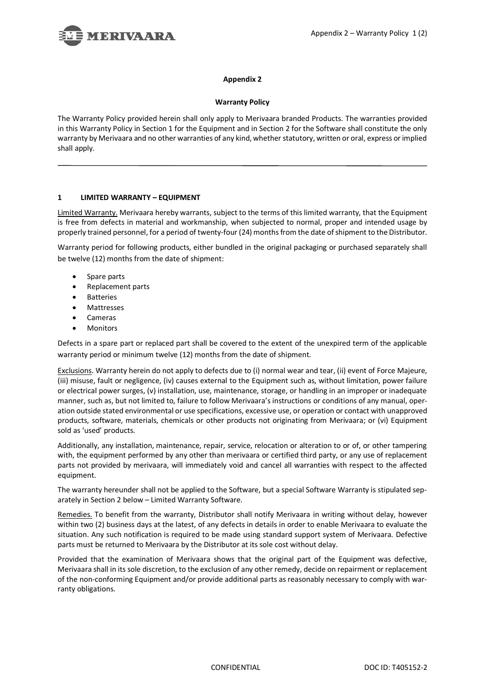

### **Appendix 2**

# **Warranty Policy**

The Warranty Policy provided herein shall only apply to Merivaara branded Products. The warranties provided in this Warranty Policy in Section 1 for the Equipment and in Section 2 for the Software shall constitute the only warranty by Merivaara and no other warranties of any kind, whether statutory, written or oral, express or implied shall apply.

# **1 LIMITED WARRANTY – EQUIPMENT**

Limited Warranty. Merivaara hereby warrants, subject to the terms of this limited warranty, that the Equipment is free from defects in material and workmanship, when subjected to normal, proper and intended usage by properly trained personnel, for a period of twenty-four (24) months from the date of shipment to the Distributor.

Warranty period for following products, either bundled in the original packaging or purchased separately shall be twelve (12) months from the date of shipment:

- Spare parts
- Replacement parts
- **Batteries**
- Mattresses
- Cameras
- **Monitors**

Defects in a spare part or replaced part shall be covered to the extent of the unexpired term of the applicable warranty period or minimum twelve (12) months from the date of shipment.

Exclusions. Warranty herein do not apply to defects due to (i) normal wear and tear, (ii) event of Force Majeure, (iii) misuse, fault or negligence, (iv) causes external to the Equipment such as, without limitation, power failure or electrical power surges, (v) installation, use, maintenance, storage, or handling in an improper or inadequate manner, such as, but not limited to, failure to follow Merivaara's instructions or conditions of any manual, operation outside stated environmental or use specifications, excessive use, or operation or contact with unapproved products, software, materials, chemicals or other products not originating from Merivaara; or (vi) Equipment sold as 'used' products.

Additionally, any installation, maintenance, repair, service, relocation or alteration to or of, or other tampering with, the equipment performed by any other than merivaara or certified third party, or any use of replacement parts not provided by merivaara, will immediately void and cancel all warranties with respect to the affected equipment.

The warranty hereunder shall not be applied to the Software, but a special Software Warranty is stipulated separately in Section 2 below – Limited Warranty Software.

Remedies. To benefit from the warranty, Distributor shall notify Merivaara in writing without delay, however within two (2) business days at the latest, of any defects in details in order to enable Merivaara to evaluate the situation. Any such notification is required to be made using standard support system of Merivaara. Defective parts must be returned to Merivaara by the Distributor at its sole cost without delay.

Provided that the examination of Merivaara shows that the original part of the Equipment was defective, Merivaara shall in its sole discretion, to the exclusion of any other remedy, decide on repairment or replacement of the non-conforming Equipment and/or provide additional parts as reasonably necessary to comply with warranty obligations.